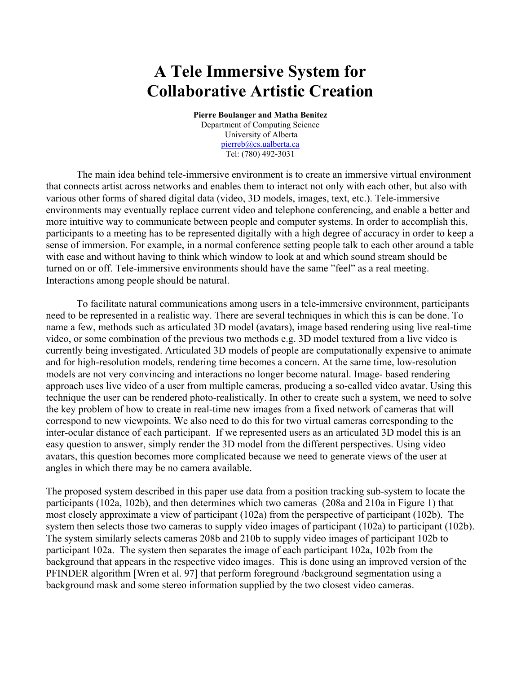## **A Tele Immersive System for Collaborative Artistic Creation**

**Pierre Boulanger and Matha Benitez**  Department of Computing Science University of Alberta [pierreb@cs.ualberta.ca](mailto:pierreb@cs.ualberta.ca) Tel: (780) 492-3031

The main idea behind tele-immersive environment is to create an immersive virtual environment that connects artist across networks and enables them to interact not only with each other, but also with various other forms of shared digital data (video, 3D models, images, text, etc.). Tele-immersive environments may eventually replace current video and telephone conferencing, and enable a better and more intuitive way to communicate between people and computer systems. In order to accomplish this, participants to a meeting has to be represented digitally with a high degree of accuracy in order to keep a sense of immersion. For example, in a normal conference setting people talk to each other around a table with ease and without having to think which window to look at and which sound stream should be turned on or off. Tele-immersive environments should have the same "feel" as a real meeting. Interactions among people should be natural.

To facilitate natural communications among users in a tele-immersive environment, participants need to be represented in a realistic way. There are several techniques in which this is can be done. To name a few, methods such as articulated 3D model (avatars), image based rendering using live real-time video, or some combination of the previous two methods e.g. 3D model textured from a live video is currently being investigated. Articulated 3D models of people are computationally expensive to animate and for high-resolution models, rendering time becomes a concern. At the same time, low-resolution models are not very convincing and interactions no longer become natural. Image- based rendering approach uses live video of a user from multiple cameras, producing a so-called video avatar. Using this technique the user can be rendered photo-realistically. In other to create such a system, we need to solve the key problem of how to create in real-time new images from a fixed network of cameras that will correspond to new viewpoints. We also need to do this for two virtual cameras corresponding to the inter-ocular distance of each participant. If we represented users as an articulated 3D model this is an easy question to answer, simply render the 3D model from the different perspectives. Using video avatars, this question becomes more complicated because we need to generate views of the user at angles in which there may be no camera available.

The proposed system described in this paper use data from a position tracking sub-system to locate the participants (102a, 102b), and then determines which two cameras (208a and 210a in Figure 1) that most closely approximate a view of participant (102a) from the perspective of participant (102b). The system then selects those two cameras to supply video images of participant (102a) to participant (102b). The system similarly selects cameras 208b and 210b to supply video images of participant 102b to participant 102a. The system then separates the image of each participant 102a, 102b from the background that appears in the respective video images. This is done using an improved version of the PFINDER algorithm [Wren et al. 97] that perform foreground /background segmentation using a background mask and some stereo information supplied by the two closest video cameras.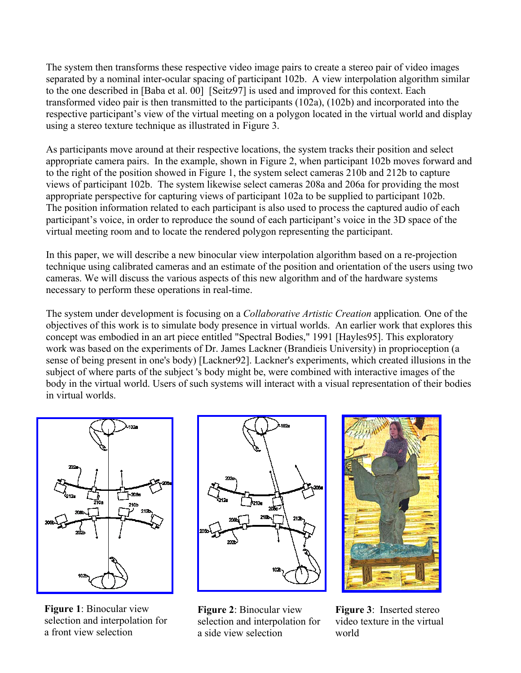The system then transforms these respective video image pairs to create a stereo pair of video images separated by a nominal inter-ocular spacing of participant 102b. A view interpolation algorithm similar to the one described in [Baba et al. 00] [Seitz97] is used and improved for this context. Each transformed video pair is then transmitted to the participants (102a), (102b) and incorporated into the respective participant's view of the virtual meeting on a polygon located in the virtual world and display using a stereo texture technique as illustrated in Figure 3.

As participants move around at their respective locations, the system tracks their position and select appropriate camera pairs. In the example, shown in Figure 2, when participant 102b moves forward and to the right of the position showed in Figure 1, the system select cameras 210b and 212b to capture views of participant 102b. The system likewise select cameras 208a and 206a for providing the most appropriate perspective for capturing views of participant 102a to be supplied to participant 102b. The position information related to each participant is also used to process the captured audio of each participant's voice, in order to reproduce the sound of each participant's voice in the 3D space of the virtual meeting room and to locate the rendered polygon representing the participant.

In this paper, we will describe a new binocular view interpolation algorithm based on a re-projection technique using calibrated cameras and an estimate of the position and orientation of the users using two cameras. We will discuss the various aspects of this new algorithm and of the hardware systems necessary to perform these operations in real-time.

The system under development is focusing on a *Collaborative Artistic Creation* application*.* One of the objectives of this work is to simulate body presence in virtual worlds. An earlier work that explores this concept was embodied in an art piece entitled "Spectral Bodies," 1991 [Hayles95]. This exploratory work was based on the experiments of Dr. James Lackner (Brandieis University) in proprioception (a sense of being present in one's body) [Lackner92]. Lackner's experiments, which created illusions in the subject of where parts of the subject 's body might be, were combined with interactive images of the body in the virtual world. Users of such systems will interact with a visual representation of their bodies in virtual worlds.



**Figure 1**: Binocular view selection and interpolation for a front view selection



**Figure 2**: Binocular view selection and interpolation for a side view selection



**Figure 3**: Inserted stereo video texture in the virtual world